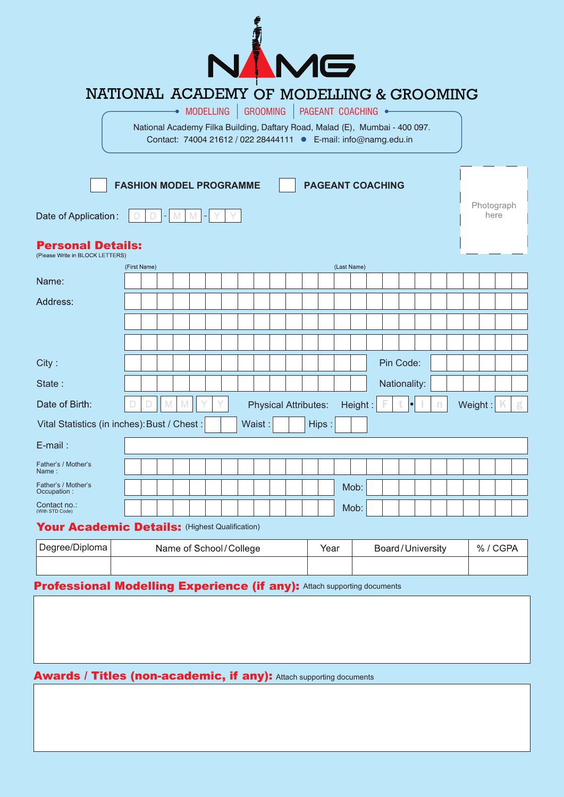

## NATIONAL ACADEMY OF MODELLING & GROOMING

 $\bullet$  modelling Grooming Pageant Coaching  $\bullet$ 

National Academy Filka Building, Daftary Road, Malad (E), Mumbai - 400 097. Contact: 74004 21612 / 022 28444111 E-mail: info@namg.edu.in

| <b>FASHION MODEL PROGRAMME</b><br><b>PAGEANT COACHING</b><br>Date of Application:<br>M<br>M<br>۰ |  |                        |  |   |  |  | Photograph<br>here |                          |  |  |                             |  |        |             |         |  |              |  |  |  |  |  |         |             |   |
|--------------------------------------------------------------------------------------------------|--|------------------------|--|---|--|--|--------------------|--------------------------|--|--|-----------------------------|--|--------|-------------|---------|--|--------------|--|--|--|--|--|---------|-------------|---|
| <b>Personal Details:</b><br>(Please Write in BLOCK LETTERS)                                      |  |                        |  |   |  |  |                    |                          |  |  |                             |  |        |             |         |  |              |  |  |  |  |  |         |             |   |
|                                                                                                  |  | (First Name)           |  |   |  |  |                    |                          |  |  |                             |  |        | (Last Name) |         |  |              |  |  |  |  |  |         |             |   |
| Name:                                                                                            |  |                        |  |   |  |  |                    |                          |  |  |                             |  |        |             |         |  |              |  |  |  |  |  |         |             |   |
| Address:                                                                                         |  |                        |  |   |  |  |                    |                          |  |  |                             |  |        |             |         |  |              |  |  |  |  |  |         |             |   |
|                                                                                                  |  |                        |  |   |  |  |                    |                          |  |  |                             |  |        |             |         |  |              |  |  |  |  |  |         |             |   |
|                                                                                                  |  |                        |  |   |  |  |                    |                          |  |  |                             |  |        |             |         |  |              |  |  |  |  |  |         |             |   |
| City:                                                                                            |  |                        |  |   |  |  |                    |                          |  |  |                             |  |        |             |         |  | Pin Code:    |  |  |  |  |  |         |             |   |
| State:                                                                                           |  |                        |  |   |  |  |                    |                          |  |  |                             |  |        |             |         |  | Nationality: |  |  |  |  |  |         |             |   |
| Date of Birth:                                                                                   |  |                        |  | M |  |  |                    |                          |  |  | <b>Physical Attributes:</b> |  |        |             | Height: |  |              |  |  |  |  |  | Weight: | $\mathbb K$ | g |
| Vital Statistics (in inches): Bust / Chest :<br>Waist:<br>Hips:                                  |  |                        |  |   |  |  |                    |                          |  |  |                             |  |        |             |         |  |              |  |  |  |  |  |         |             |   |
| E-mail:                                                                                          |  |                        |  |   |  |  |                    |                          |  |  |                             |  |        |             |         |  |              |  |  |  |  |  |         |             |   |
| Father's / Mother's<br>Name:                                                                     |  |                        |  |   |  |  |                    |                          |  |  |                             |  |        |             |         |  |              |  |  |  |  |  |         |             |   |
| Father's / Mother's<br>Occupation :                                                              |  |                        |  |   |  |  |                    |                          |  |  |                             |  |        |             | Mob:    |  |              |  |  |  |  |  |         |             |   |
| Contact no.:<br>(With STD Code)                                                                  |  |                        |  |   |  |  |                    |                          |  |  |                             |  |        |             | Mob:    |  |              |  |  |  |  |  |         |             |   |
| Your Academic Details: (Highest Qualification)                                                   |  |                        |  |   |  |  |                    |                          |  |  |                             |  |        |             |         |  |              |  |  |  |  |  |         |             |   |
| Degree/Diploma                                                                                   |  | Name of School/College |  |   |  |  |                    | Board/University<br>Year |  |  |                             |  | %/CGPA |             |         |  |              |  |  |  |  |  |         |             |   |
|                                                                                                  |  |                        |  |   |  |  |                    |                          |  |  |                             |  |        |             |         |  |              |  |  |  |  |  |         |             |   |

## **Professional Modelling Experience (if any): Attach supporting documents**

## Awards / Titles (non-academic, if any): Attach supporting documents